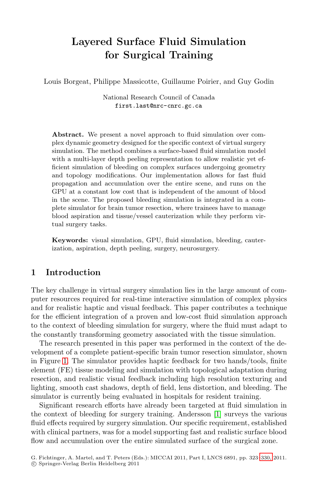# **Layered Surface Fluid Simulation for Surgical Training**

Louis Borgeat, Philippe Massicotte, Guillaume Poirier, and Guy Godin

National Research Council of Canada  $\mathcal{C}$ 

Abstract. We present a novel approach to fluid simulation over complex dynamic geometry designed for the specific context of virtual surgery simulation. The method combines a surface-based fluid simulation model with a multi-layer depth peeling representation to allow realistic yet efficient simulation of bleeding on complex surfaces undergoing geometry and topology modifications. Our implementation allows for fast fluid propagation and accumulation over the entire scene, and runs on the GPU at a constant low cost that is independent of the amount of blood in the scene. The proposed bleeding simulation is integrated in a complete simulator for brain tumor resection, where trainees have to manage blood aspiration and tissue/vessel cauterization while they perform virtual surgery tasks.

**Keywords:** visual simulation, GPU, fluid simulation, bleeding, cauterization, aspiration, depth peeling, surgery, neurosurgery.

### **1 Introduction**

The key challenge in virtual surgery simulation lies in the large amount of computer resources required for real-time interactive simulation of complex physics and for realistic haptic and visual feedback. This paper contributes a technique for the efficient integration of a proven and low-cost fluid simulation approach to the context of bleeding simulation for surgery, where the fluid must adapt to the constantly transforming geometry associated with the tissue simulation.

The research presented in this paper was performed in the context of the development of a complete patient-specific brain tumor resection simulator, shown in Figure [1.](#page-1-0) The simulator provides haptic feedback for two hands/tools, finite element (FE) tissue modeling and simulation with topological adaptation during resection, and realistic visual feedback including high resolution texturing and lighting, smooth cast shadows, depth of field, lens distortion, and bleeding. The simulator is currently being evaluated in hospitals for resident training.

Significant research efforts have already been targeted at fluid simulation in the context of bleeding for surgery training. Andersson [\[1\]](#page-7-0) surveys the various fluid effects required by surgery simulation. Our specific requirement, established with clinical partners, was for a model supporting fast and realistic surface blood flow and accumulation over the entire simulated surface of the surgical zone.

G. Fichtinger, A. Martel, and T. Peters (Eds.): MICCAI 2011, Part I, LNCS 6891, pp. 323[–330,](#page-7-1) 2011.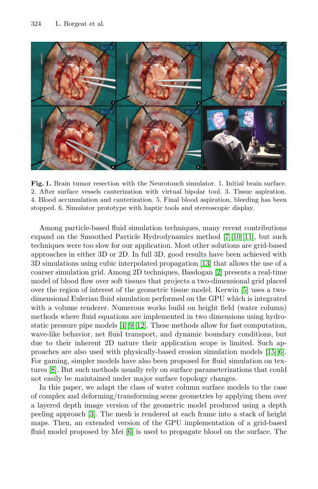

**Fig. 1.** Brain tumor resection with the Neurotouch simulator. 1. Initial brain surface. 2. After surface vessels cauterization with virtual bipolar tool. 3. Tissue aspiration. 4. Blood accumulation and cauterization. 5. Final blood aspiration, bleeding has been stopped. 6. Simulator prototype with haptic tools and stereoscopic display.

<span id="page-1-0"></span>Among particle-based fluid simulation techniques, many recent contributions expand on the Smoothed Particle Hydrodynamics method [\[7\]](#page-7-2)[\[10\]](#page-7-3)[\[11\]](#page-7-4), but such techniques were too slow for our application. Most other solutions are grid-based approaches in either 3D or 2D. In full 3D, good results have been achieved with 3D simulations using cubic interpolated propagation [\[13\]](#page-7-5) that allows the use of a coarser simulation grid. Among 2D techniques, Basdogan [\[2\]](#page-7-6) presents a real-time model of blood flow over soft tissues that projects a two-dimensional grid placed over the region of interest of the geometric tissue model. Kerwin [\[5\]](#page-7-7) uses a twodimensional Eulerian fluid simulation performed on the GPU which is integrated with a volume renderer. Numerous works build on height field (water column) methods where fluid equations are implemented in two dimensions using hydrostatic pressure pipe models [\[4\]](#page-7-8)[\[9\]](#page-7-9)[\[12\]](#page-7-10). These methods allow for fast computation, wave-like behavior, net fluid transport, and dynamic boundary conditions, but due to their inherent 2D nature their application scope is limited. Such approaches are also used with physically-based erosion simulation models [\[15\]](#page-7-11)[\[6\]](#page-7-12). For gaming, simpler models have also been proposed for fluid simulation on textures [\[8\]](#page-7-13). But such methods usually rely on surface parameterizations that could not easily be maintained under major surface topology changes.

In this paper, we adapt the class of water column surface models to the case of complex and deforming/transforming scene geometries by applying them over a layered depth image version of the geometric model produced using a depth peeling approach [\[3\]](#page-7-14). The mesh is rendered at each frame into a stack of height maps. Then, an extended version of the GPU implementation of a grid-based fluid model proposed by Mei [\[6\]](#page-7-12) is used to propagate blood on the surface. The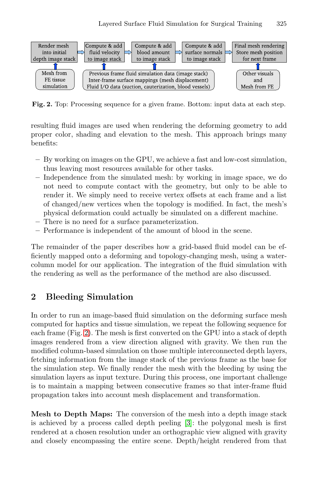

<span id="page-2-0"></span>**Fig. 2.** Top: Processing sequence for a given frame. Bottom: input data at each step.

resulting fluid images are used when rendering the deforming geometry to add proper color, shading and elevation to the mesh. This approach brings many benefits:

- **–** By working on images on the GPU, we achieve a fast and low-cost simulation, thus leaving most resources available for other tasks.
- **–** Independence from the simulated mesh: by working in image space, we do not need to compute contact with the geometry, but only to be able to render it. We simply need to receive vertex offsets at each frame and a list of changed/new vertices when the topology is modified. In fact, the mesh's physical deformation could actually be simulated on a different machine.
- **–** There is no need for a surface parameterization.
- **–** Performance is independent of the amount of blood in the scene.

The remainder of the paper describes how a grid-based fluid model can be efficiently mapped onto a deforming and topology-changing mesh, using a watercolumn model for our application. The integration of the fluid simulation with the rendering as well as the performance of the method are also discussed.

### **2 Bleeding Simulation**

In order to run an image-based fluid simulation on the deforming surface mesh computed for haptics and tissue simulation, we repeat the following sequence for each frame (Fig. [2\)](#page-2-0). The mesh is first converted on the GPU into a stack of depth images rendered from a view direction aligned with gravity. We then run the modified column-based simulation on those multiple interconnected depth layers, fetching information from the image stack of the previous frame as the base for the simulation step. We finally render the mesh with the bleeding by using the simulation layers as input texture. During this process, one important challenge is to maintain a mapping between consecutive frames so that inter-frame fluid propagation takes into account mesh displacement and transformation.

**Mesh to Depth Maps:** The conversion of the mesh into a depth image stack is achieved by a process called depth peeling [\[3\]](#page-7-14): the polygonal mesh is first rendered at a chosen resolution under an orthographic view aligned with gravity and closely encompassing the entire scene. Depth/height rendered from that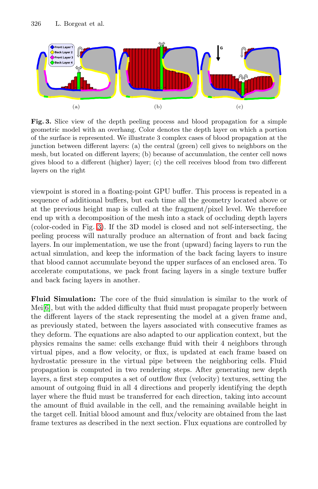

<span id="page-3-0"></span>**Fig. 3.** Slice view of the depth peeling process and blood propagation for a simple geometric model with an overhang. Color denotes the depth layer on which a portion of the surface is represented. We illustrate 3 complex cases of blood propagation at the junction between different layers: (a) the central (green) cell gives to neighbors on the mesh, but located on different layers; (b) because of accumulation, the center cell nows gives blood to a different (higher) layer; (c) the cell receives blood from two different layers on the right

viewpoint is stored in a floating-point GPU buffer. This process is repeated in a sequence of additional buffers, but each time all the geometry located above or at the previous height map is culled at the fragment/pixel level. We therefore end up with a decomposition of the mesh into a stack of occluding depth layers (color-coded in Fig. [3\)](#page-3-0). If the 3D model is closed and not self-intersecting, the peeling process will naturally produce an alternation of front and back facing layers. In our implementation, we use the front (upward) facing layers to run the actual simulation, and keep the information of the back facing layers to insure that blood cannot accumulate beyond the upper surfaces of an enclosed area. To accelerate computations, we pack front facing layers in a single texture buffer and back facing layers in another.

**Fluid Simulation:** The core of the fluid simulation is similar to the work of Mei[\[6\]](#page-7-12), but with the added difficulty that fluid must propagate properly between the different layers of the stack representing the model at a given frame and, as previously stated, between the layers associated with consecutive frames as they deform. The equations are also adapted to our application context, but the physics remains the same: cells exchange fluid with their 4 neighbors through virtual pipes, and a flow velocity, or flux, is updated at each frame based on hydrostatic pressure in the virtual pipe between the neighboring cells. Fluid propagation is computed in two rendering steps. After generating new depth layers, a first step computes a set of outflow flux (velocity) textures, setting the amount of outgoing fluid in all 4 directions and properly identifying the depth layer where the fluid must be transferred for each direction, taking into account the amount of fluid available in the cell, and the remaining available height in the target cell. Initial blood amount and flux/velocity are obtained from the last frame textures as described in the next section. Flux equations are controlled by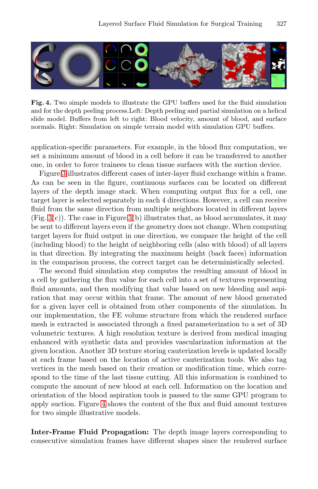

**Fig. 4.** Two simple models to illustrate the GPU buffers used for the fluid simulation and for the depth peeling process.Left: Depth peeling and partial simulation on a helical slide model. Buffers from left to right: Blood velocity, amount of blood, and surface normals. Right: Simulation on simple terrain model with simulation GPU buffers.

<span id="page-4-0"></span>application-specific parameters. For example, in the blood flux computation, we set a minimum amount of blood in a cell before it can be transferred to another one, in order to force trainees to clean tissue surfaces with the suction device.

Figure [3](#page-3-0) illustrates different cases of inter-layer fluid exchange within a frame. As can be seen in the figure, continuous surfaces can be located on different layers of the depth image stack. When computing output flux for a cell, one target layer is selected separately in each 4 directions. However, a cell can receive fluid from the same direction from multiple neighbors located in different layers  $(Fig. 3(c))$  $(Fig. 3(c))$  $(Fig. 3(c))$ . The case in Figure 3(b) illustrates that, as blood accumulates, it may be sent to different layers even if the geometry does not change. When computing target layers for fluid output in one direction, we compare the height of the cell (including blood) to the height of neighboring cells (also with blood) of all layers in that direction. By integrating the maximum height (back faces) information in the comparison process, the correct target can be deterministically selected.

The second fluid simulation step computes the resulting amount of blood in a cell by gathering the flux value for each cell into a set of textures representing fluid amounts, and then modifying that value based on new bleeding and aspiration that may occur within that frame. The amount of new blood generated for a given layer cell is obtained from other components of the simulation. In our implementation, the FE volume structure from which the rendered surface mesh is extracted is associated through a fixed parameterization to a set of 3D volumetric textures. A high resolution texture is derived from medical imaging enhanced with synthetic data and provides vascularization information at the given location. Another 3D texture storing cauterization levels is updated locally at each frame based on the location of active cauterization tools. We also tag vertices in the mesh based on their creation or modification time, which correspond to the time of the last tissue cutting. All this information is combined to compute the amount of new blood at each cell. Information on the location and orientation of the blood aspiration tools is passed to the same GPU program to apply suction. Figure [4](#page-4-0) shows the content of the flux and fluid amount textures for two simple illustrative models.

**Inter-Frame Fluid Propagation:** The depth image layers corresponding to consecutive simulation frames have different shapes since the rendered surface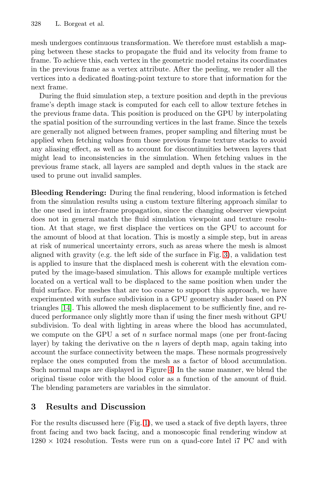mesh undergoes continuous transformation. We therefore must establish a mapping between these stacks to propagate the fluid and its velocity from frame to frame. To achieve this, each vertex in the geometric model retains its coordinates in the previous frame as a vertex attribute. After the peeling, we render all the vertices into a dedicated floating-point texture to store that information for the next frame.

During the fluid simulation step, a texture position and depth in the previous frame's depth image stack is computed for each cell to allow texture fetches in the previous frame data. This position is produced on the GPU by interpolating the spatial position of the surrounding vertices in the last frame. Since the texels are generally not aligned between frames, proper sampling and filtering must be applied when fetching values from those previous frame texture stacks to avoid any aliasing effect, as well as to account for discontinuities between layers that might lead to inconsistencies in the simulation. When fetching values in the previous frame stack, all layers are sampled and depth values in the stack are used to prune out invalid samples.

**Bleeding Rendering:** During the final rendering, blood information is fetched from the simulation results using a custom texture filtering approach similar to the one used in inter-frame propagation, since the changing observer viewpoint does not in general match the fluid simulation viewpoint and texture resolution. At that stage, we first displace the vertices on the GPU to account for the amount of blood at that location. This is mostly a simple step, but in areas at risk of numerical uncertainty errors, such as areas where the mesh is almost aligned with gravity (e.g. the left side of the surface in Fig. [3\)](#page-3-0), a validation test is applied to insure that the displaced mesh is coherent with the elevation computed by the image-based simulation. This allows for example multiple vertices located on a vertical wall to be displaced to the same position when under the fluid surface. For meshes that are too coarse to support this approach, we have experimented with surface subdivision in a GPU geometry shader based on PN triangles [\[14\]](#page-7-15). This allowed the mesh displacement to be sufficiently fine, and reduced performance only slightly more than if using the finer mesh without GPU subdivision. To deal with lighting in areas where the blood has accumulated, we compute on the GPU a set of *n* surface normal maps (one per front-facing layer) by taking the derivative on the *n* layers of depth map, again taking into account the surface connectivity between the maps. These normals progressively replace the ones computed from the mesh as a factor of blood accumulation. Such normal maps are displayed in Figure [4.](#page-4-0) In the same manner, we blend the original tissue color with the blood color as a function of the amount of fluid. The blending parameters are variables in the simulator.

### **3 Results and Discussion**

For the results discussed here (Fig. [1\)](#page-1-0), we used a stack of five depth layers, three front facing and two back facing, and a monoscopic final rendering window at 1280 *×* 1024 resolution. Tests were run on a quad-core Intel i7 PC and with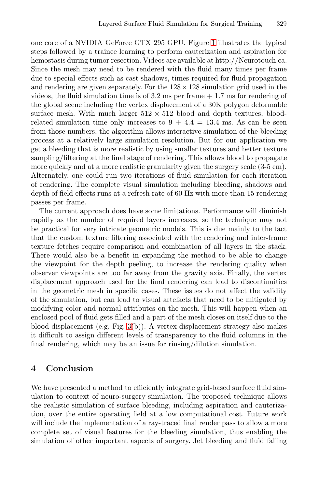one core of a NVIDIA GeForce GTX 295 GPU. Figure [1](#page-1-0) illustrates the typical steps followed by a trainee learning to perform cauterization and aspiration for hemostasis during tumor resection. Videos are available at http://Neurotouch.ca. Since the mesh may need to be rendered with the fluid many times per frame due to special effects such as cast shadows, times required for fluid propagation and rendering are given separately. For the 128*×*128 simulation grid used in the videos, the fluid simulation time is of 3.2 ms per frame  $+1.7$  ms for rendering of the global scene including the vertex displacement of a 30K polygon deformable surface mesh. With much larger  $512 \times 512$  blood and depth textures, bloodrelated simulation time only increases to  $9 + 4.4 = 13.4$  ms. As can be seen from those numbers, the algorithm allows interactive simulation of the bleeding process at a relatively large simulation resolution. But for our application we get a bleeding that is more realistic by using smaller textures and better texture sampling/filtering at the final stage of rendering. This allows blood to propagate more quickly and at a more realistic granularity given the surgery scale (3-5 cm). Alternately, one could run two iterations of fluid simulation for each iteration of rendering. The complete visual simulation including bleeding, shadows and depth of field effects runs at a refresh rate of 60 Hz with more than 15 rendering passes per frame.

The current approach does have some limitations. Performance will diminish rapidly as the number of required layers increases, so the technique may not be practical for very intricate geometric models. This is due mainly to the fact that the custom texture filtering associated with the rendering and inter-frame texture fetches require comparison and combination of all layers in the stack. There would also be a benefit in expanding the method to be able to change the viewpoint for the depth peeling, to increase the rendering quality when observer viewpoints are too far away from the gravity axis. Finally, the vertex displacement approach used for the final rendering can lead to discontinuities in the geometric mesh in specific cases. These issues do not affect the validity of the simulation, but can lead to visual artefacts that need to be mitigated by modifying color and normal attributes on the mesh. This will happen when an enclosed pool of fluid gets filled and a part of the mesh closes on itself due to the blood displacement (e.g. Fig. [3\(](#page-3-0)b)). A vertex displacement strategy also makes it difficult to assign different levels of transparency to the fluid columns in the final rendering, which may be an issue for rinsing/dilution simulation.

#### **4 Conclusion**

We have presented a method to efficiently integrate grid-based surface fluid simulation to context of neuro-surgery simulation. The proposed technique allows the realistic simulation of surface bleeding, including aspiration and cauterization, over the entire operating field at a low computational cost. Future work will include the implementation of a ray-traced final render pass to allow a more complete set of visual features for the bleeding simulation, thus enabling the simulation of other important aspects of surgery. Jet bleeding and fluid falling